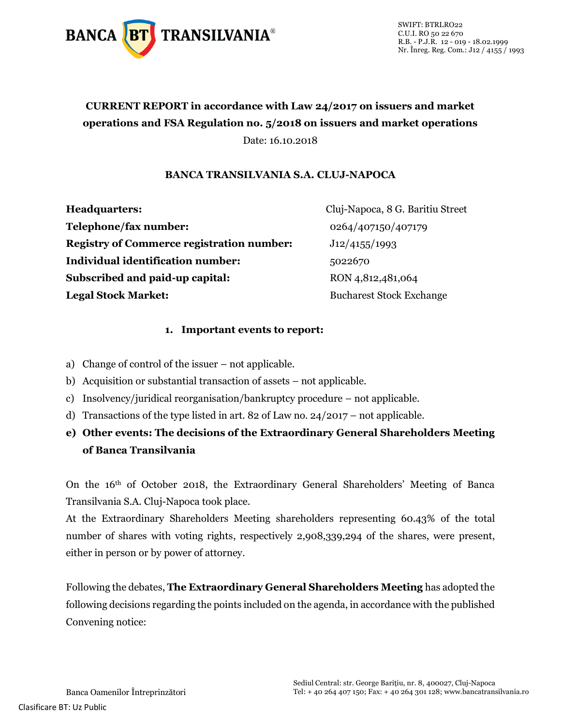

SWIFT: BTRLRO22 C.U.I. RO 50 22 670 R.B. - P.J.R. 12 - 019 - 18.02.1999 Nr. Înreg. Reg. Com.: J12 / 4155 / 1993

## **CURRENT REPORT in accordance with Law 24/2017 on issuers and market operations and FSA Regulation no. 5/2018 on issuers and market operations** Date: 16.10.2018

## **BANCA TRANSILVANIA S.A. CLUJ-NAPOCA**

**Headquarters:** Cluj-Napoca, 8 G. Baritiu Street **Telephone/fax number:** 0264/407150/407179 **Registry of Commerce registration number:** J12/4155/1993 **Individual identification number:** 5022670 **Subscribed and paid-up capital:** RON 4,812,481,064 **Legal Stock Market:** Bucharest Stock Exchange

## **1. Important events to report:**

- a) Change of control of the issuer not applicable.
- b) Acquisition or substantial transaction of assets not applicable.
- c) Insolvency/juridical reorganisation/bankruptcy procedure not applicable.
- d) Transactions of the type listed in art. 82 of Law no. 24/2017 not applicable.
- **e) Other events: The decisions of the Extraordinary General Shareholders Meeting of Banca Transilvania**

On the 16th of October 2018, the Extraordinary General Shareholders' Meeting of Banca Transilvania S.A. Cluj-Napoca took place.

At the Extraordinary Shareholders Meeting shareholders representing 60.43% of the total number of shares with voting rights, respectively 2,908,339,294 of the shares, were present, either in person or by power of attorney.

Following the debates, **The Extraordinary General Shareholders Meeting** has adopted the following decisions regarding the points included on the agenda, in accordance with the published Convening notice: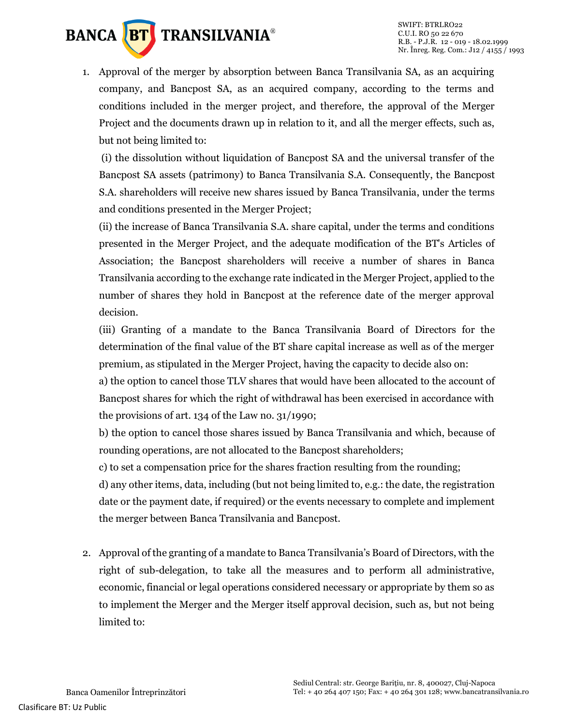

1. Approval of the merger by absorption between Banca Transilvania SA, as an acquiring company, and Bancpost SA, as an acquired company, according to the terms and conditions included in the merger project, and therefore, the approval of the Merger Project and the documents drawn up in relation to it, and all the merger effects, such as, but not being limited to:

(i) the dissolution without liquidation of Bancpost SA and the universal transfer of the Bancpost SA assets (patrimony) to Banca Transilvania S.A. Consequently, the Bancpost S.A. shareholders will receive new shares issued by Banca Transilvania, under the terms and conditions presented in the Merger Project;

(ii) the increase of Banca Transilvania S.A. share capital, under the terms and conditions presented in the Merger Project, and the adequate modification of the BT's Articles of Association; the Bancpost shareholders will receive a number of shares in Banca Transilvania according to the exchange rate indicated in the Merger Project, applied to the number of shares they hold in Bancpost at the reference date of the merger approval decision.

(iii) Granting of a mandate to the Banca Transilvania Board of Directors for the determination of the final value of the BT share capital increase as well as of the merger premium, as stipulated in the Merger Project, having the capacity to decide also on:

a) the option to cancel those TLV shares that would have been allocated to the account of Bancpost shares for which the right of withdrawal has been exercised in accordance with the provisions of art. 134 of the Law no. 31/1990;

b) the option to cancel those shares issued by Banca Transilvania and which, because of rounding operations, are not allocated to the Bancpost shareholders;

c) to set a compensation price for the shares fraction resulting from the rounding;

d) any other items, data, including (but not being limited to, e.g.: the date, the registration date or the payment date, if required) or the events necessary to complete and implement the merger between Banca Transilvania and Bancpost.

2. Approval of the granting of a mandate to Banca Transilvania's Board of Directors, with the right of sub-delegation, to take all the measures and to perform all administrative, economic, financial or legal operations considered necessary or appropriate by them so as to implement the Merger and the Merger itself approval decision, such as, but not being limited to: